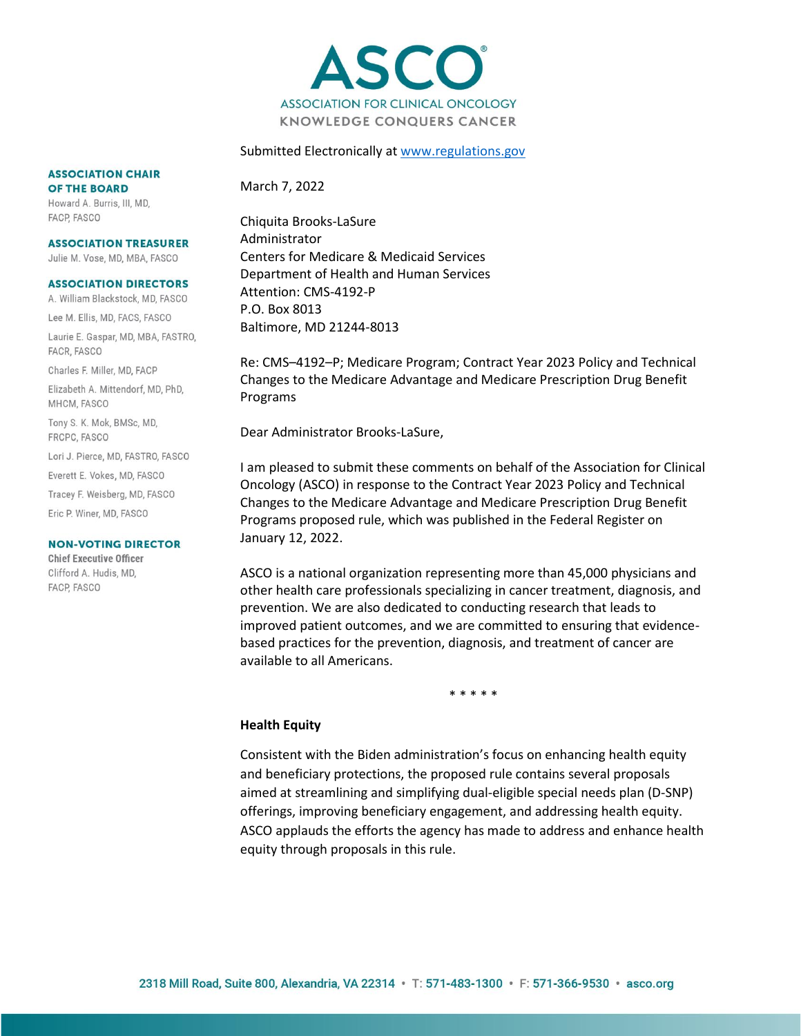

#### Submitted Electronically at [www.regulations.gov](http://www.regulations.gov/)

#### **ASSOCIATION CHAIR** OF THE BOARD

Howard A. Burris, III, MD, FACP, FASCO

#### **ASSOCIATION TREASURER**

Julie M. Vose, MD, MBA, FASCO

#### **ASSOCIATION DIRECTORS**

A. William Blackstock, MD, FASCO Lee M. Ellis, MD, FACS, FASCO

Laurie E. Gaspar, MD, MBA, FASTRO, FACR, FASCO

Charles F. Miller, MD, FACP

Elizabeth A. Mittendorf, MD, PhD, MHCM, FASCO

Tony S. K. Mok, BMSc, MD, FRCPC, FASCO

Lori J. Pierce, MD, FASTRO, FASCO

Everett E. Vokes, MD, FASCO

Tracey F. Weisberg, MD, FASCO

Eric P. Winer, MD, FASCO

#### **NON-VOTING DIRECTOR**

**Chief Executive Officer** Clifford A. Hudis, MD, FACP, FASCO

March 7, 2022

Chiquita Brooks-LaSure Administrator Centers for Medicare & Medicaid Services Department of Health and Human Services Attention: CMS-4192-P P.O. Box 8013 Baltimore, MD 21244-8013

Re: CMS–4192–P; Medicare Program; Contract Year 2023 Policy and Technical Changes to the Medicare Advantage and Medicare Prescription Drug Benefit Programs

Dear Administrator Brooks-LaSure,

I am pleased to submit these comments on behalf of the Association for Clinical Oncology (ASCO) in response to the Contract Year 2023 Policy and Technical Changes to the Medicare Advantage and Medicare Prescription Drug Benefit Programs proposed rule, which was published in the Federal Register on January 12, 2022.

ASCO is a national organization representing more than 45,000 physicians and other health care professionals specializing in cancer treatment, diagnosis, and prevention. We are also dedicated to conducting research that leads to improved patient outcomes, and we are committed to ensuring that evidencebased practices for the prevention, diagnosis, and treatment of cancer are available to all Americans.

\* \* \* \* \*

### **Health Equity**

Consistent with the Biden administration's focus on enhancing health equity and beneficiary protections, the proposed rule contains several proposals aimed at streamlining and simplifying dual-eligible special needs plan (D-SNP) offerings, improving beneficiary engagement, and addressing health equity. ASCO applauds the efforts the agency has made to address and enhance health equity through proposals in this rule.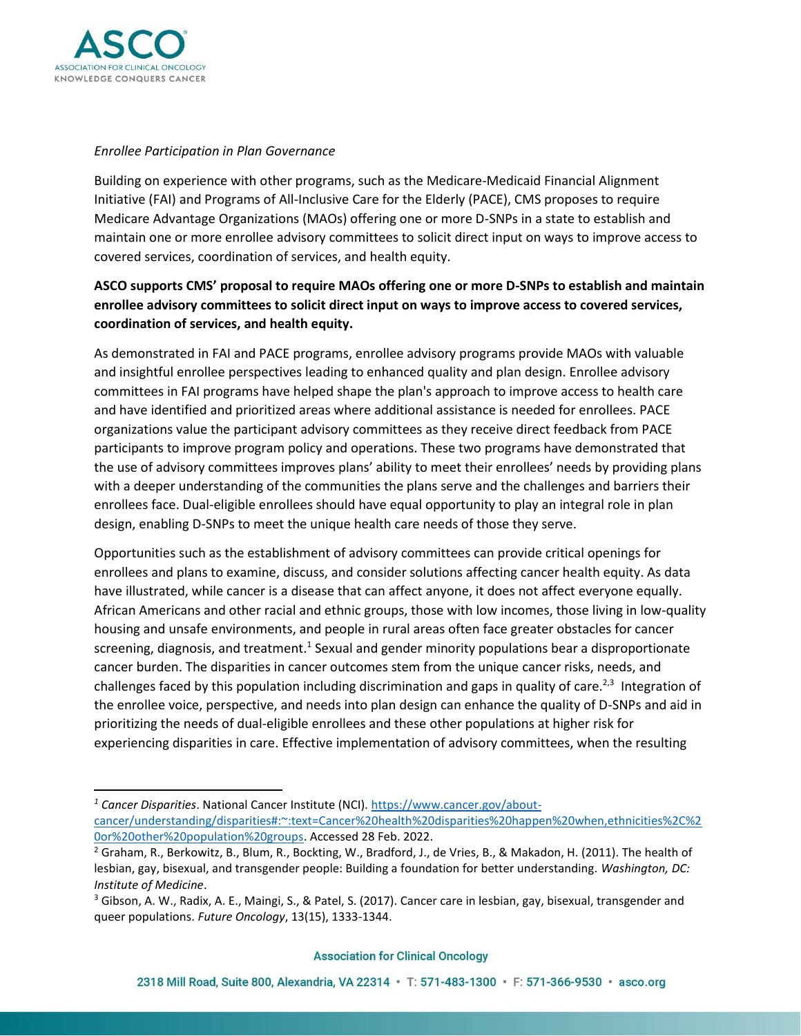

### *Enrollee Participation in Plan Governance*

Building on experience with other programs, such as the Medicare-Medicaid Financial Alignment Initiative (FAI) and Programs of All-Inclusive Care for the Elderly (PACE), CMS proposes to require Medicare Advantage Organizations (MAOs) offering one or more D-SNPs in a state to establish and maintain one or more enrollee advisory committees to solicit direct input on ways to improve access to covered services, coordination of services, and health equity.

# **ASCO supports CMS' proposal to require MAOs offering one or more D-SNPs to establish and maintain enrollee advisory committees to solicit direct input on ways to improve access to covered services, coordination of services, and health equity.**

As demonstrated in FAI and PACE programs, enrollee advisory programs provide MAOs with valuable and insightful enrollee perspectives leading to enhanced quality and plan design. Enrollee advisory committees in FAI programs have helped shape the plan's approach to improve access to health care and have identified and prioritized areas where additional assistance is needed for enrollees. PACE organizations value the participant advisory committees as they receive direct feedback from PACE participants to improve program policy and operations. These two programs have demonstrated that the use of advisory committees improves plans' ability to meet their enrollees' needs by providing plans with a deeper understanding of the communities the plans serve and the challenges and barriers their enrollees face. Dual-eligible enrollees should have equal opportunity to play an integral role in plan design, enabling D-SNPs to meet the unique health care needs of those they serve.

Opportunities such as the establishment of advisory committees can provide critical openings for enrollees and plans to examine, discuss, and consider solutions affecting cancer health equity. As data have illustrated, while cancer is a disease that can affect anyone, it does not affect everyone equally. African Americans and other racial and ethnic groups, those with low incomes, those living in low-quality housing and unsafe environments, and people in rural areas often face greater obstacles for cancer screening, diagnosis, and treatment.<sup>1</sup> Sexual and gender minority populations bear a disproportionate cancer burden. The disparities in cancer outcomes stem from the unique cancer risks, needs, and challenges faced by this population including discrimination and gaps in quality of care.<sup>2,3</sup> Integration of the enrollee voice, perspective, and needs into plan design can enhance the quality of D-SNPs and aid in prioritizing the needs of dual-eligible enrollees and these other populations at higher risk for experiencing disparities in care. Effective implementation of advisory committees, when the resulting

*<sup>1</sup> Cancer Disparities*. National Cancer Institute (NCI). [https://www.cancer.gov/about](https://www.cancer.gov/about-cancer/understanding/disparities#:~:text=Cancer%20health%20disparities%20happen%20when,ethnicities%2C%20or%20other%20population%20groups)[cancer/understanding/disparities#:~:text=Cancer%20health%20disparities%20happen%20when,ethnicities%2C%2](https://www.cancer.gov/about-cancer/understanding/disparities#:~:text=Cancer%20health%20disparities%20happen%20when,ethnicities%2C%20or%20other%20population%20groups) [0or%20other%20population%20groups.](https://www.cancer.gov/about-cancer/understanding/disparities#:~:text=Cancer%20health%20disparities%20happen%20when,ethnicities%2C%20or%20other%20population%20groups) Accessed 28 Feb. 2022.

<sup>&</sup>lt;sup>2</sup> Graham, R., Berkowitz, B., Blum, R., Bockting, W., Bradford, J., de Vries, B., & Makadon, H. (2011). The health of lesbian, gay, bisexual, and transgender people: Building a foundation for better understanding. *Washington, DC: Institute of Medicine*.

<sup>&</sup>lt;sup>3</sup> Gibson, A. W., Radix, A. E., Maingi, S., & Patel, S. (2017). Cancer care in lesbian, gay, bisexual, transgender and queer populations. *Future Oncology*, 13(15), 1333-1344.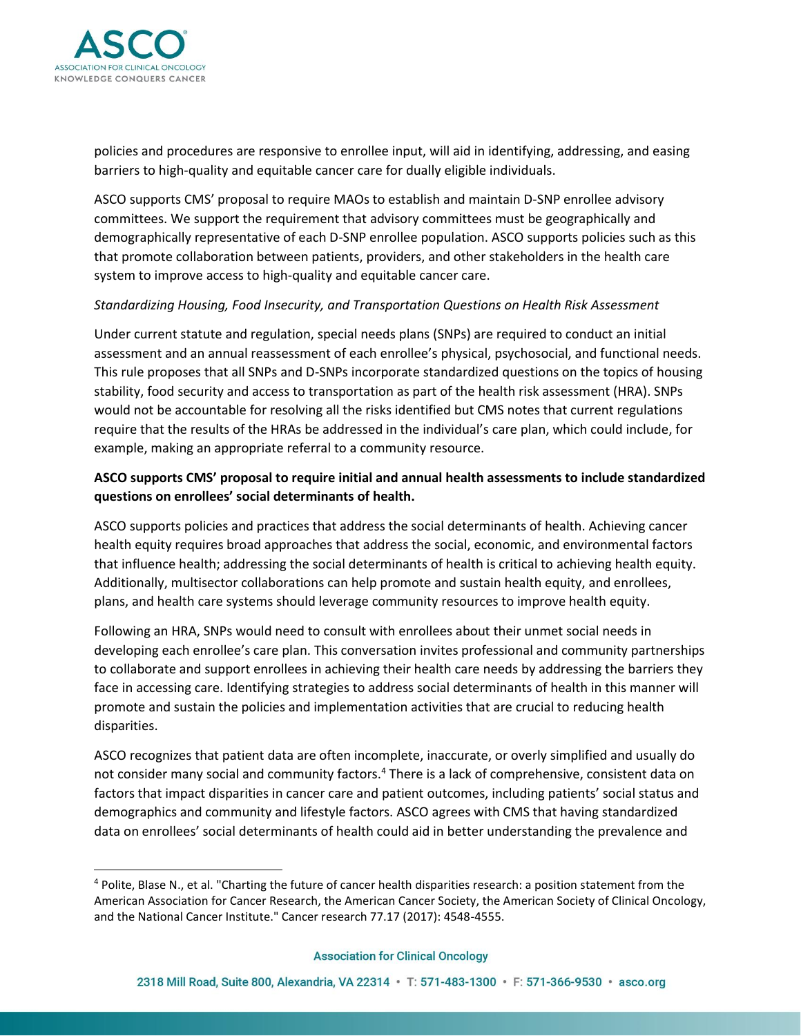

policies and procedures are responsive to enrollee input, will aid in identifying, addressing, and easing barriers to high-quality and equitable cancer care for dually eligible individuals.

ASCO supports CMS' proposal to require MAOs to establish and maintain D-SNP enrollee advisory committees. We support the requirement that advisory committees must be geographically and demographically representative of each D-SNP enrollee population. ASCO supports policies such as this that promote collaboration between patients, providers, and other stakeholders in the health care system to improve access to high-quality and equitable cancer care.

## *Standardizing Housing, Food Insecurity, and Transportation Questions on Health Risk Assessment*

Under current statute and regulation, special needs plans (SNPs) are required to conduct an initial assessment and an annual reassessment of each enrollee's physical, psychosocial, and functional needs. This rule proposes that all SNPs and D-SNPs incorporate standardized questions on the topics of housing stability, food security and access to transportation as part of the health risk assessment (HRA). SNPs would not be accountable for resolving all the risks identified but CMS notes that current regulations require that the results of the HRAs be addressed in the individual's care plan, which could include, for example, making an appropriate referral to a community resource.

# **ASCO supports CMS' proposal to require initial and annual health assessments to include standardized questions on enrollees' social determinants of health.**

ASCO supports policies and practices that address the social determinants of health. Achieving cancer health equity requires broad approaches that address the social, economic, and environmental factors that influence health; addressing the social determinants of health is critical to achieving health equity. Additionally, multisector collaborations can help promote and sustain health equity, and enrollees, plans, and health care systems should leverage community resources to improve health equity.

Following an HRA, SNPs would need to consult with enrollees about their unmet social needs in developing each enrollee's care plan. This conversation invites professional and community partnerships to collaborate and support enrollees in achieving their health care needs by addressing the barriers they face in accessing care. Identifying strategies to address social determinants of health in this manner will promote and sustain the policies and implementation activities that are crucial to reducing health disparities.

ASCO recognizes that patient data are often incomplete, inaccurate, or overly simplified and usually do not consider many social and community factors.<sup>4</sup> There is a lack of comprehensive, consistent data on factors that impact disparities in cancer care and patient outcomes, including patients' social status and demographics and community and lifestyle factors. ASCO agrees with CMS that having standardized data on enrollees' social determinants of health could aid in better understanding the prevalence and

<sup>4</sup> Polite, Blase N., et al. "Charting the future of cancer health disparities research: a position statement from the American Association for Cancer Research, the American Cancer Society, the American Society of Clinical Oncology, and the National Cancer Institute." Cancer research 77.17 (2017): 4548-4555.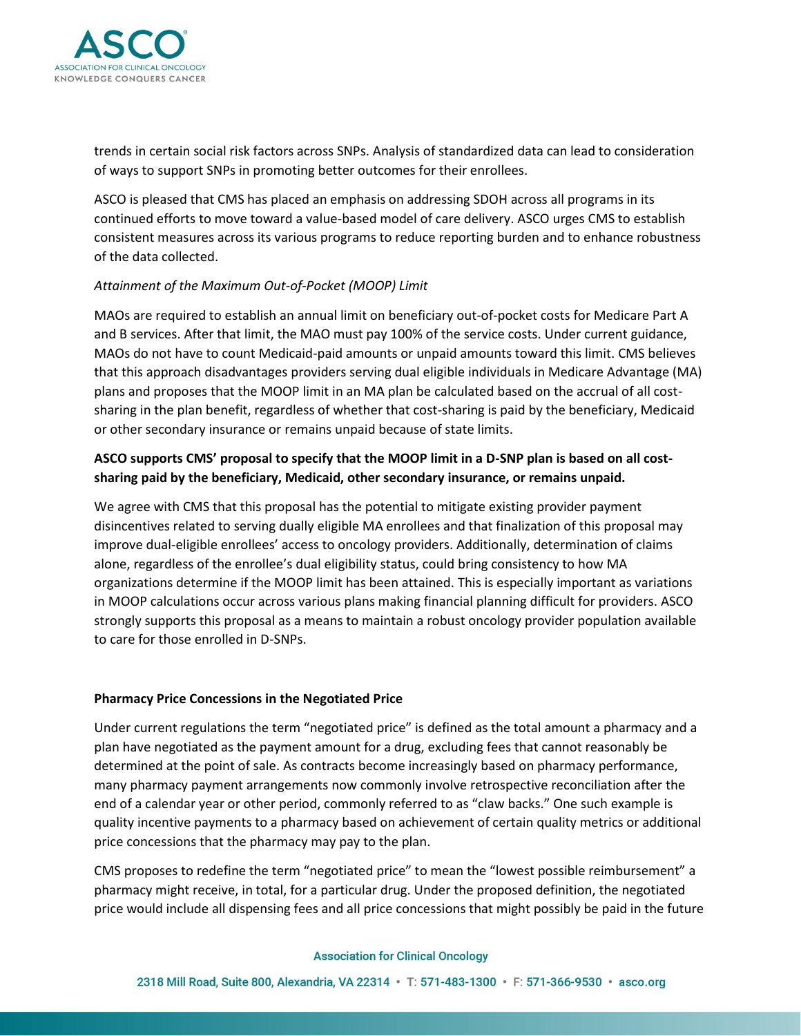

trends in certain social risk factors across SNPs. Analysis of standardized data can lead to consideration of ways to support SNPs in promoting better outcomes for their enrollees.

ASCO is pleased that CMS has placed an emphasis on addressing SDOH across all programs in its continued efforts to move toward a value-based model of care delivery. ASCO urges CMS to establish consistent measures across its various programs to reduce reporting burden and to enhance robustness of the data collected.

### *Attainment of the Maximum Out-of-Pocket (MOOP) Limit*

MAOs are required to establish an annual limit on beneficiary out-of-pocket costs for Medicare Part A and B services. After that limit, the MAO must pay 100% of the service costs. Under current guidance, MAOs do not have to count Medicaid-paid amounts or unpaid amounts toward this limit. CMS believes that this approach disadvantages providers serving dual eligible individuals in Medicare Advantage (MA) plans and proposes that the MOOP limit in an MA plan be calculated based on the accrual of all costsharing in the plan benefit, regardless of whether that cost-sharing is paid by the beneficiary, Medicaid or other secondary insurance or remains unpaid because of state limits.

## **ASCO supports CMS' proposal to specify that the MOOP limit in a D-SNP plan is based on all costsharing paid by the beneficiary, Medicaid, other secondary insurance, or remains unpaid.**

We agree with CMS that this proposal has the potential to mitigate existing provider payment disincentives related to serving dually eligible MA enrollees and that finalization of this proposal may improve dual-eligible enrollees' access to oncology providers. Additionally, determination of claims alone, regardless of the enrollee's dual eligibility status, could bring consistency to how MA organizations determine if the MOOP limit has been attained. This is especially important as variations in MOOP calculations occur across various plans making financial planning difficult for providers. ASCO strongly supports this proposal as a means to maintain a robust oncology provider population available to care for those enrolled in D-SNPs.

### **Pharmacy Price Concessions in the Negotiated Price**

Under current regulations the term "negotiated price" is defined as the total amount a pharmacy and a plan have negotiated as the payment amount for a drug, excluding fees that cannot reasonably be determined at the point of sale. As contracts become increasingly based on pharmacy performance, many pharmacy payment arrangements now commonly involve retrospective reconciliation after the end of a calendar year or other period, commonly referred to as "claw backs." One such example is quality incentive payments to a pharmacy based on achievement of certain quality metrics or additional price concessions that the pharmacy may pay to the plan.

CMS proposes to redefine the term "negotiated price" to mean the "lowest possible reimbursement" a pharmacy might receive, in total, for a particular drug. Under the proposed definition, the negotiated price would include all dispensing fees and all price concessions that might possibly be paid in the future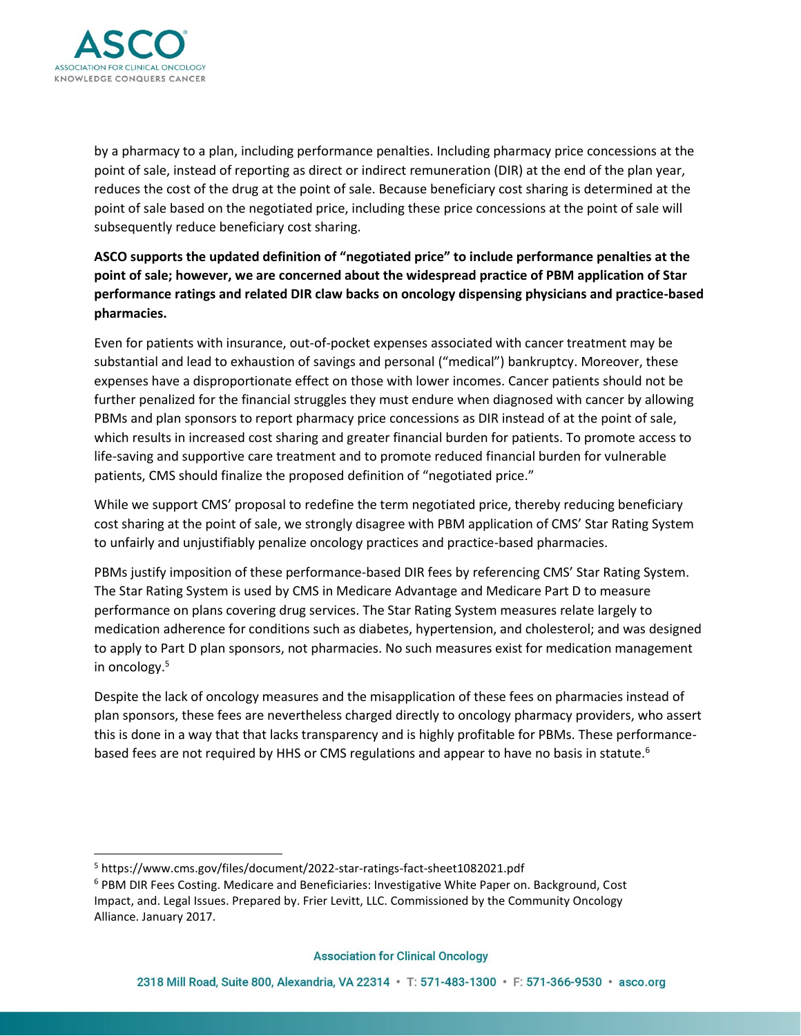

by a pharmacy to a plan, including performance penalties. Including pharmacy price concessions at the point of sale, instead of reporting as direct or indirect remuneration (DIR) at the end of the plan year, reduces the cost of the drug at the point of sale. Because beneficiary cost sharing is determined at the point of sale based on the negotiated price, including these price concessions at the point of sale will subsequently reduce beneficiary cost sharing.

# **ASCO supports the updated definition of "negotiated price" to include performance penalties at the point of sale; however, we are concerned about the widespread practice of PBM application of Star performance ratings and related DIR claw backs on oncology dispensing physicians and practice-based pharmacies.**

Even for patients with insurance, out-of-pocket expenses associated with cancer treatment may be substantial and lead to exhaustion of savings and personal ("medical") bankruptcy. Moreover, these expenses have a disproportionate effect on those with lower incomes. Cancer patients should not be further penalized for the financial struggles they must endure when diagnosed with cancer by allowing PBMs and plan sponsors to report pharmacy price concessions as DIR instead of at the point of sale, which results in increased cost sharing and greater financial burden for patients. To promote access to life-saving and supportive care treatment and to promote reduced financial burden for vulnerable patients, CMS should finalize the proposed definition of "negotiated price."

While we support CMS' proposal to redefine the term negotiated price, thereby reducing beneficiary cost sharing at the point of sale, we strongly disagree with PBM application of CMS' Star Rating System to unfairly and unjustifiably penalize oncology practices and practice-based pharmacies.

PBMs justify imposition of these performance-based DIR fees by referencing CMS' Star Rating System. The Star Rating System is used by CMS in Medicare Advantage and Medicare Part D to measure performance on plans covering drug services. The Star Rating System measures relate largely to medication adherence for conditions such as diabetes, hypertension, and cholesterol; and was designed to apply to Part D plan sponsors, not pharmacies. No such measures exist for medication management in oncology.<sup>5</sup>

Despite the lack of oncology measures and the misapplication of these fees on pharmacies instead of plan sponsors, these fees are nevertheless charged directly to oncology pharmacy providers, who assert this is done in a way that that lacks transparency and is highly profitable for PBMs. These performancebased fees are not required by HHS or CMS regulations and appear to have no basis in statute.<sup>6</sup>

<sup>5</sup> https://www.cms.gov/files/document/2022-star-ratings-fact-sheet1082021.pdf

<sup>6</sup> PBM DIR Fees Costing. Medicare and Beneficiaries: Investigative White Paper on. Background, Cost Impact, and. Legal Issues. Prepared by. Frier Levitt, LLC. Commissioned by the Community Oncology Alliance. January 2017.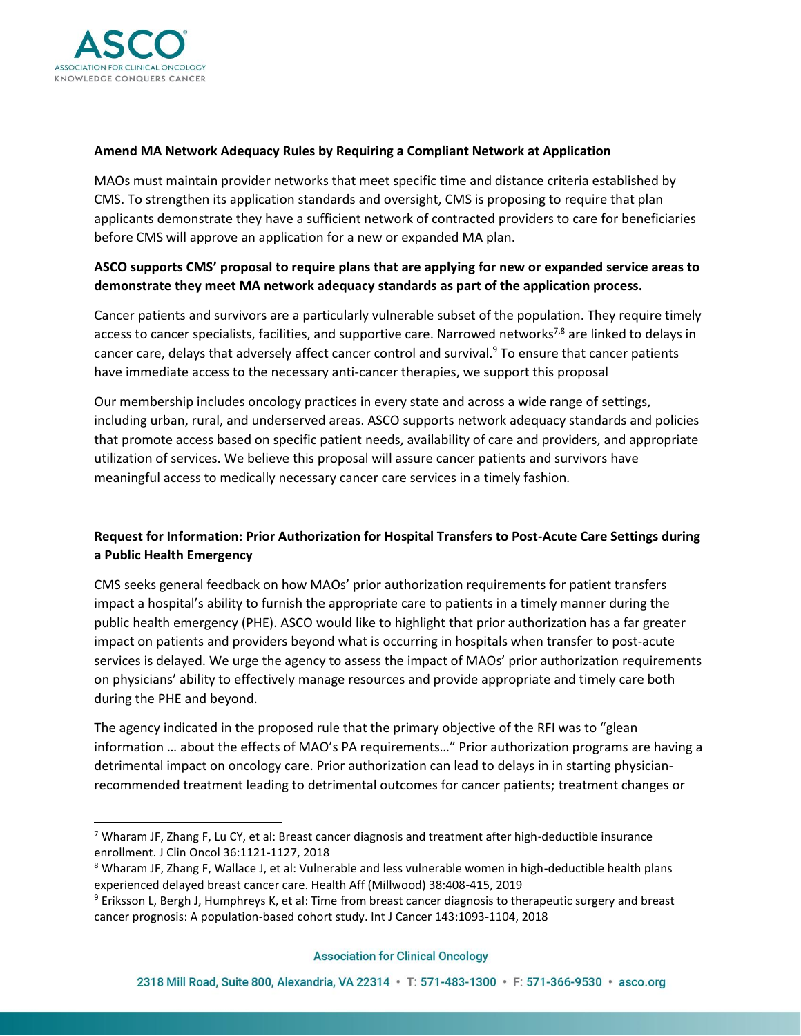

## **Amend MA Network Adequacy Rules by Requiring a Compliant Network at Application**

MAOs must maintain provider networks that meet specific time and distance criteria established by CMS. To strengthen its application standards and oversight, CMS is proposing to require that plan applicants demonstrate they have a sufficient network of contracted providers to care for beneficiaries before CMS will approve an application for a new or expanded MA plan.

## **ASCO supports CMS' proposal to require plans that are applying for new or expanded service areas to demonstrate they meet MA network adequacy standards as part of the application process.**

Cancer patients and survivors are a particularly vulnerable subset of the population. They require timely access to cancer specialists, facilities, and supportive care. Narrowed networks<sup>7,8</sup> are linked to delays in cancer care, delays that adversely affect cancer control and survival.<sup>9</sup> To ensure that cancer patients have immediate access to the necessary anti-cancer therapies, we support this proposal

Our membership includes oncology practices in every state and across a wide range of settings, including urban, rural, and underserved areas. ASCO supports network adequacy standards and policies that promote access based on specific patient needs, availability of care and providers, and appropriate utilization of services. We believe this proposal will assure cancer patients and survivors have meaningful access to medically necessary cancer care services in a timely fashion.

# **Request for Information: Prior Authorization for Hospital Transfers to Post-Acute Care Settings during a Public Health Emergency**

CMS seeks general feedback on how MAOs' prior authorization requirements for patient transfers impact a hospital's ability to furnish the appropriate care to patients in a timely manner during the public health emergency (PHE). ASCO would like to highlight that prior authorization has a far greater impact on patients and providers beyond what is occurring in hospitals when transfer to post-acute services is delayed. We urge the agency to assess the impact of MAOs' prior authorization requirements on physicians' ability to effectively manage resources and provide appropriate and timely care both during the PHE and beyond.

The agency indicated in the proposed rule that the primary objective of the RFI was to "glean information … about the effects of MAO's PA requirements…" Prior authorization programs are having a detrimental impact on oncology care. Prior authorization can lead to delays in in starting physicianrecommended treatment leading to detrimental outcomes for cancer patients; treatment changes or

<sup>&</sup>lt;sup>7</sup> Wharam JF, Zhang F, Lu CY, et al: Breast cancer diagnosis and treatment after high-deductible insurance enrollment. J Clin Oncol 36:1121-1127, 2018

<sup>&</sup>lt;sup>8</sup> Wharam JF, Zhang F, Wallace J, et al: Vulnerable and less vulnerable women in high-deductible health plans experienced delayed breast cancer care. Health Aff (Millwood) 38:408-415, 2019

<sup>&</sup>lt;sup>9</sup> Eriksson L, Bergh J, Humphreys K, et al: Time from breast cancer diagnosis to therapeutic surgery and breast cancer prognosis: A population-based cohort study. Int J Cancer 143:1093-1104, 2018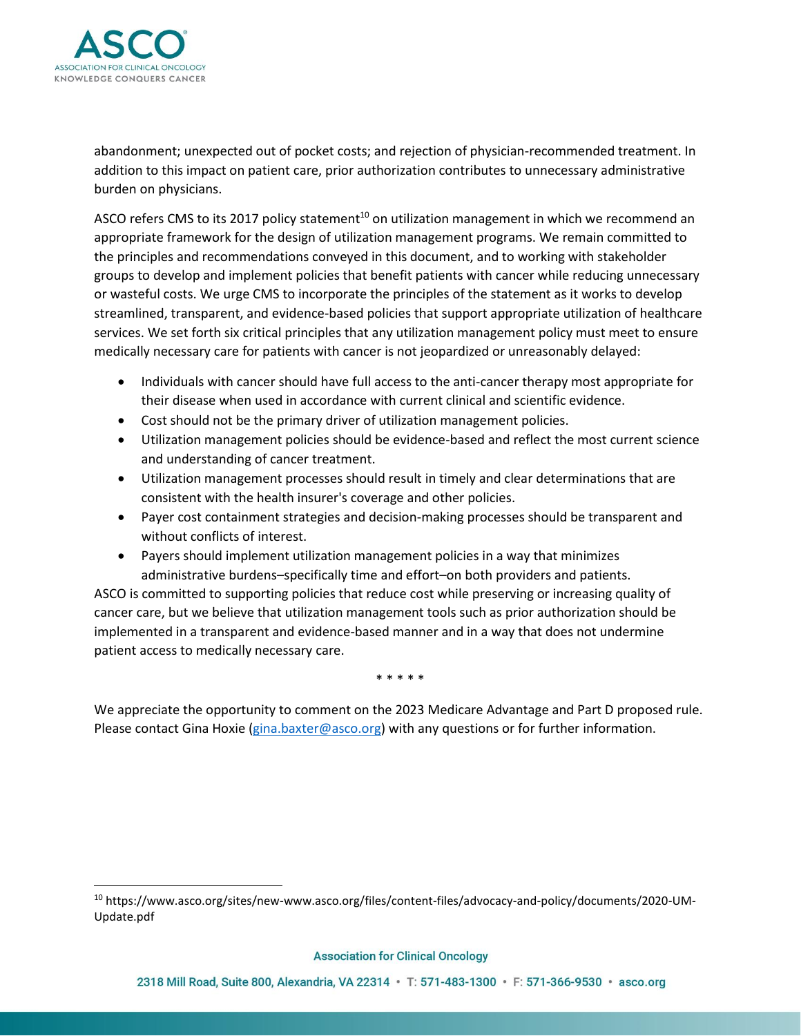

abandonment; unexpected out of pocket costs; and rejection of physician-recommended treatment. In addition to this impact on patient care, prior authorization contributes to unnecessary administrative burden on physicians.

ASCO refers CMS to its 2017 policy statement<sup>10</sup> on utilization management in which we recommend an appropriate framework for the design of utilization management programs. We remain committed to the principles and recommendations conveyed in this document, and to working with stakeholder groups to develop and implement policies that benefit patients with cancer while reducing unnecessary or wasteful costs. We urge CMS to incorporate the principles of the statement as it works to develop streamlined, transparent, and evidence-based policies that support appropriate utilization of healthcare services. We set forth six critical principles that any utilization management policy must meet to ensure medically necessary care for patients with cancer is not jeopardized or unreasonably delayed:

- Individuals with cancer should have full access to the anti-cancer therapy most appropriate for their disease when used in accordance with current clinical and scientific evidence.
- Cost should not be the primary driver of utilization management policies.
- Utilization management policies should be evidence-based and reflect the most current science and understanding of cancer treatment.
- Utilization management processes should result in timely and clear determinations that are consistent with the health insurer's coverage and other policies.
- Payer cost containment strategies and decision-making processes should be transparent and without conflicts of interest.
- Payers should implement utilization management policies in a way that minimizes administrative burdens–specifically time and effort–on both providers and patients.

ASCO is committed to supporting policies that reduce cost while preserving or increasing quality of cancer care, but we believe that utilization management tools such as prior authorization should be implemented in a transparent and evidence-based manner and in a way that does not undermine patient access to medically necessary care.

\* \* \* \* \*

We appreciate the opportunity to comment on the 2023 Medicare Advantage and Part D proposed rule. Please contact Gina Hoxie [\(gina.baxter@asco.org\)](mailto:gina.baxter@asco.org) with any questions or for further information.

<sup>10</sup> https://www.asco.org/sites/new-www.asco.org/files/content-files/advocacy-and-policy/documents/2020-UM-Update.pdf